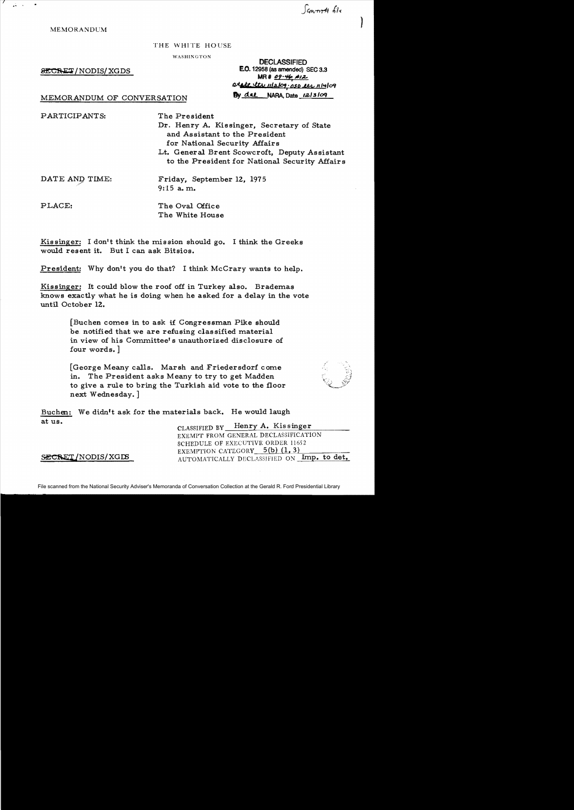Sancerett file

) MEMORANDUM

#### THE WHITE HOUSE

WASHINGTON

 $&ECHE2/NODIS/XGDS$ 

DECLASSIFIED<br>**E.O.** 12958 (as amended) SEC 3.3 **MR# 09-46 #12** *Q;(H;e* "IN 1(1aJc1,. OSD .t.t1" If' ..*/09* 

# MEMORANDUM OF CONVERSATION By dat NARA, Date 12/3/09

PARTICIPANTS: The President

Dr. Henry A. Kissinger, Secretary of State and Assistant to the President for National Security Affairs Lt. General Brent Scowcroft, Deputy Assistant to the President for National Security Affairs

DATE AND TIME: Friday, September 12, 1975 9:'15 a. m.

PLACE: The Oval Office The White House

Kissinger: I don't think the mission should go. I think the Greeks would resent it. But I can ask Bitsios.

President: Why don't you do that? I think McCrary wants to help.

Kissinger: It could blow the roof off in Turkey also. Brademas knows exactly what he is doing when he asked for a delay in the vote until October 12.

> [Buchen comes in to ask if Congressman Pike should be. notified that we are refusing classified material in view of his Committee's unauthorized disclosure of four words. ]

> [George Meany calls. Marsh and Friedersdorf come in. The President asks Meany to try to get Madden to give a rule to bring the Turkish aid vote to the floor next Wednesday. ]

Buchen: We didn't ask for the materials back. He would laugh at us.

CLASSIFIED BY Henry A. Kissinger EXEMPT FROM GENERAL DECLASSIFICATION SCHEDULE OF EXECUTIVE ORDER 11652 EXEMPTION CATEGORY  $5(b)$   $(1, 3)$ SECRET/NODIS/XGDS AUTOMATICALLY DECLASSIFIED ON Imp. to det.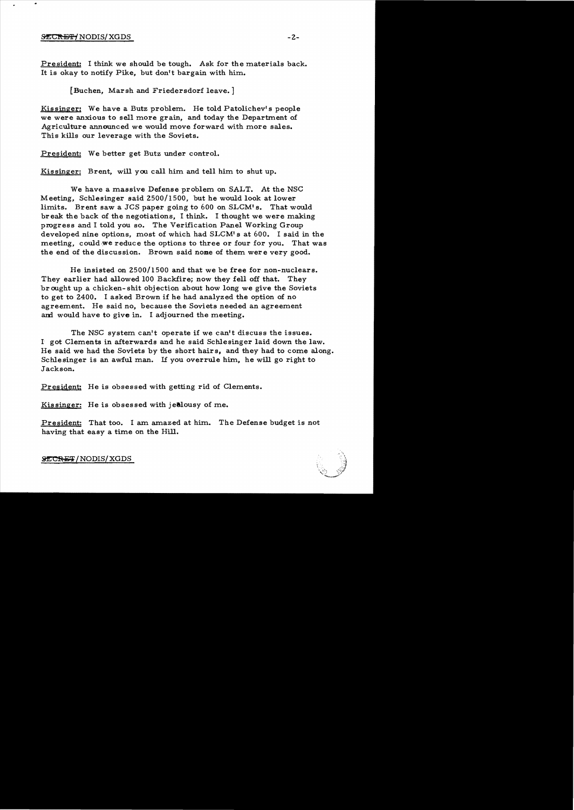### $\tt 2$  -  $2$  -  $2$  -  $2$  -  $2$  -  $2$  -  $2$  -  $2$  -  $2$  -  $2$  -  $2$  -  $2$  -  $2$  -  $2$  -  $2$  -  $2$  -  $2$  -  $2$  -  $2$  -  $2$  -  $2$  -  $2$  -  $2$  -  $2$  -  $2$  -  $2$  -  $2$  -  $2$  -  $2$  -  $2$  -  $2$  -  $2$  -  $2$  -  $2$  -  $2$  -  $2$  -  $2$

President: I think we should be tough. Ask for the materials back. It is okay to notify Pike, but don't bargain with him.

[Buchen, Marsh and Friedersdorf leave. ]

Kissinger: We have a Butz problem. He told Patolichev' s people we were anxious to sell more grain, and today the Department of Agriculture announced we would move forward with more sales. This kills our leverage with the Soviets.

President: We better get Butz under control.

Kissinger: Brent, will you call him and tell him to shut up.

We have a massive Defense problem on SALT. At the NSC Meeting, Schlesinger said 2500/1500, but he would look at lower limits. Brent saw a JCS paper going to 600 on SLCM's. That would br eak the back of the negotiations, I think. I thought we were making progress and I told you so. The Verification Panel Working Group developed nine options, most of which had SLCM's at 600. I said in the meeting, could we reduce the options to three or four for you. That was the end of the discussion. Brown said nome of them were very good.

He insisted on  $2500/1500$  and that we be free for non-nuclears. They earlier had allowed 100 Backfire; now they fell off that. They br ought up a chicken-shit objection about how long we give the Soviets to get to 2400. I asked Brown if he had analyzed the option of no agreement. He said no, because the Soviets needed an agreement and would have to give in. I adjourned the meeting.

The NSC system can't operate if we can't discuss the issues. 1 got Clements in afterwards and he said Schlesinger laid down the law. He said we had the Soviets by the short hairs, and they had to come along. Schlesinger is an awful man. 1£ you overrule him, he will go right to Jackson.

President; He is obsessed with getting rid of Clements.

Kissinger: He is obsessed with jealousy of me.

President: That too. I am amazed at him. The Defense budget is not having that easy a time on the Hill.

SECRET/NODIS/XGDS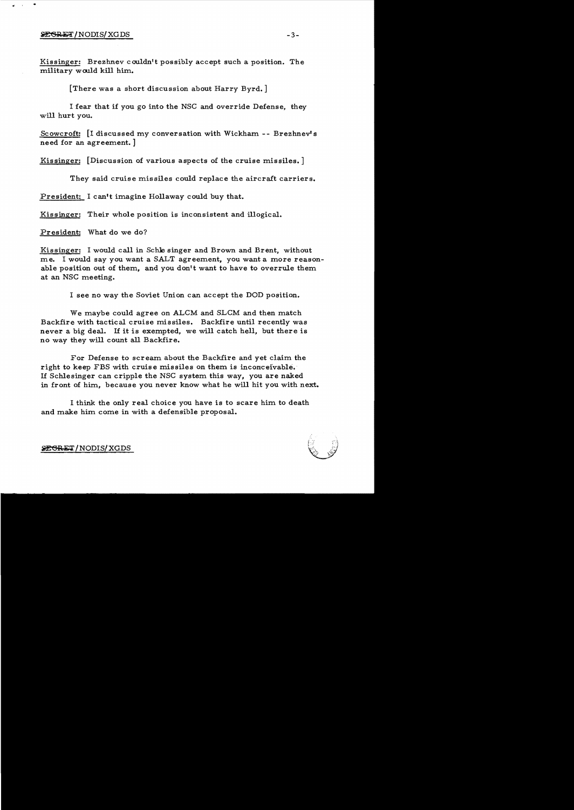#### $\frac{1}{2}$   $\frac{1}{2}$   $\frac{1}{2}$   $\frac{1}{2}$   $\frac{1}{2}$   $\frac{1}{2}$   $\frac{1}{2}$   $\frac{1}{2}$   $\frac{1}{2}$   $\frac{1}{2}$   $\frac{1}{2}$   $\frac{1}{2}$   $\frac{1}{2}$   $\frac{1}{2}$   $\frac{1}{2}$   $\frac{1}{2}$   $\frac{1}{2}$   $\frac{1}{2}$   $\frac{1}{2}$   $\frac{1}{2}$   $\frac{1}{2}$   $\frac{1}{2}$

Kissinger: Brezhnev couldn't possibly accept such a position. The military would kill him.

[There was a short discussion about Harry Byrd.]

I fear that if you go into the NSC and override Defense, they will hurt you.

Scowcroft: [I discussed my conversation with Wickham - - Brezhnev's need for an agreement. ]

Kissinger: [Discussion of various aspects of the cruise missiles.]

They said cruise missiles could replace the aircraft carriers.

President: I can't imagine Hollaway could buy that.

Kissinger: Their whole position is inconsistent and illogical.

President: What do we do?

Kissinger: I would call in Schle singer and Brown and Brent, without me. I would say you want a SALT agreement, you want a more reasonable position out of them, and you don't want to have to overrule them at an NSC meeting.

I see no way the Soviet Union can accept the DOD position.

We maybe could agree on ALCM and SLCM and then match Backfire with tactical cruise missiles. Backfire until recently was never a big deal. If it is exempted, we will catch hell, but there is no way they will count all Backfire.

For Defense to scream about the Backfire and yet claim the right to keep FBS with cruise missiles on them is inconceivable. If Schlesinger can cripple the NSC system this way, you are naked in front of him, because you never know what he will hit you with next.

I think the only real choice you have is to scare him to death and make him come in with a defensible proposal.



~R1h'I' /NODIS/XGDS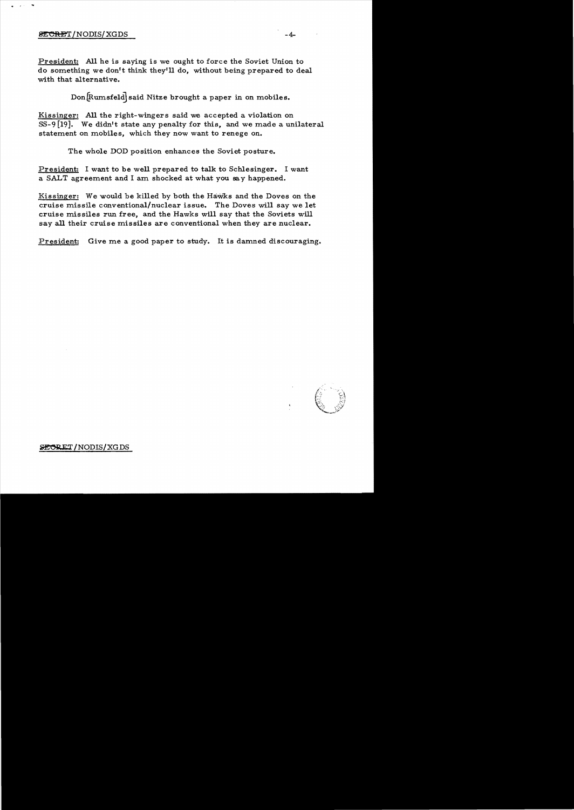## $\overline{\text{BECREF}}$  /NODIS/XGDS  $-4$

President: **All** he is saying is we ought to force the Soviet Union to do something we don't think theyrll do, without being prepared to deal with that alternative.

Don [Rumsfeld] said Nitze brought a paper in on mobiles.

Kissinger: All the right-wingers said we accepted a violation on *SS-9* [19]. We didn't state any penalty for this, and we made a unilateral statement on mobiles, which they now want to renege on.

The whole DOD position enhances the Soviet posture.

President: I want to be well prepared to talk to Schlesinger. I want a SALT agreement and I am shocked at what you sa y happened.

Kissinger: We would be killed by both the Hawks and the Doves on the cruise missile conventional/nuclear issue. The Doves will say we let cruise missiles run free, and the Hawks will say that the Soviets will say all their cruise missiles are conventional when they are nuclear.

President: Give me a good paper to study. It is damned discouraging.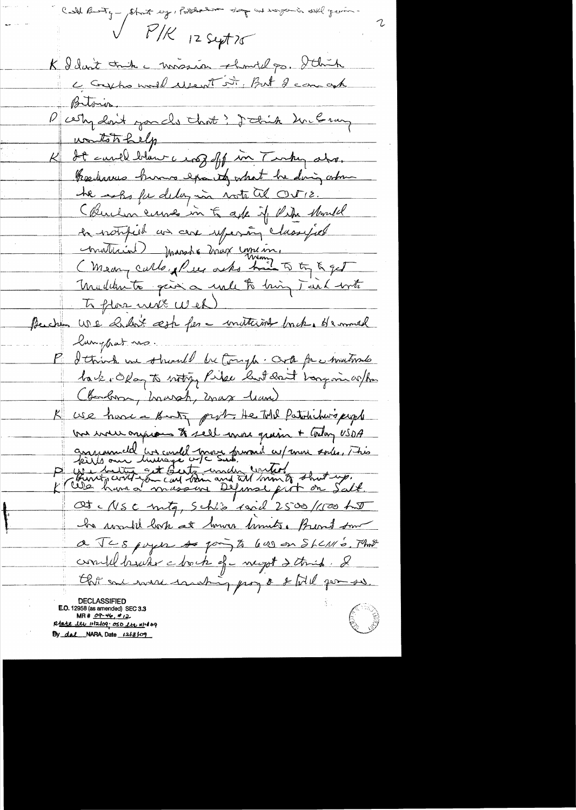Call Buty - Stat ey, Postedelin say in razemin sell gening  $V$   $P/K$  12 sept 75 K I don't trik a mission should ps. I think Betoion. Party don't you cle that? I think hun le rung watchbelp It cand blam a roof off in Turky also. Percharme humo exacts what he ding orbin he asks for delay in note tel OUTIE. (Buchen curves in to ask if the should la notified us are repensive classified conduction marshe mort une in. Mademite gain a unle to bring Tend with To plas next Wed Buchen UDE holder's æste for a motterint bruke demned lunghat no I think we shall be tough. Och for whathout back, Okay to noting Pike but don't bong in when (Bandron, howsh, max leave) use have a Banty prob. He told Patrichard people but well originals to sell more grain + today USDA answered in could more provide w/ more soils, This<br>P wind our hussage w/c sub, until a shot up,<br>K was hard masseine Defined put on Salt. Ot NSC mtg, Schle raid 2500/100 hu he would look at how limits. Burnt som a JCS poyer so pay to leve on Shemo. That completement chock of weight 2 things. I thit are were unabig prog & I till por so. DECLASSIFIED **E.O.** 12958 (as amended) SEC 3.3  $MR# 09-46, 412$ 

Rtate ltu 1112/09; OSO Lts 111409 By dal NARA, Date 1213109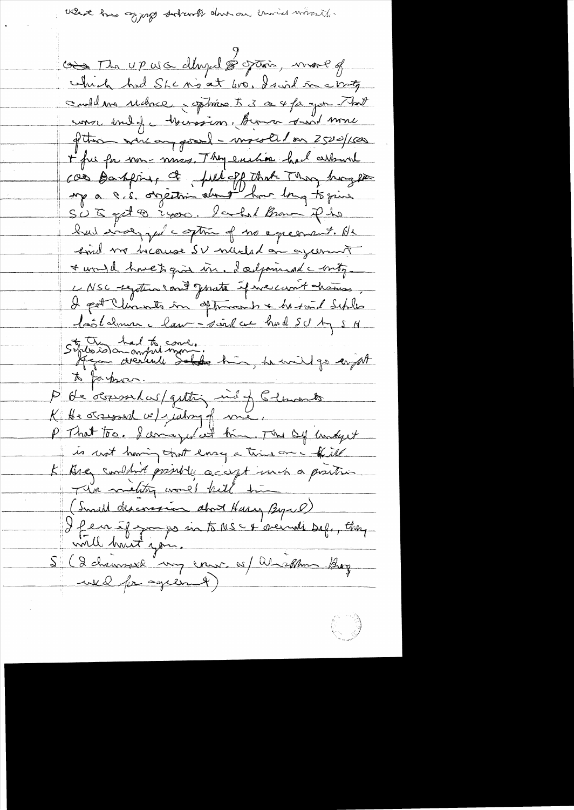what has going solvents done on crisis worself.

cois Mr upus dévedé grain, mois of which had She mis at 100, I said in conty could me udnce, sphing 5 3 a 4 ft you That conse end of hourssion, Borno sant more d'Une vercongeral - montel en 2500/100 + fue for non-mics. They eaches had arbural cas Banking at full of that They happen up a c.s. orgettion about how long to give SUG got 8 2400. lacked Brown Pho had invergied continued no exercise the said me because SV nucled on agerment a would have to give in. I adjoined a boty -L NSC regation cant geneta if we can't chances I pat Chinats in optimients & he send Schles lastalmen clair-said au houd SU Ag 5 N Strussomment mont.<br>Agen avenue Salde his, he wild go anywt P de 'ocopositas/gutting mil of Clements P That too. I amazed we him. The Dy underst is not having that long a trini one of the K Bre combint printly accept much a printing (Inall desconsion about Harry Byrel) I feurif par interestation def., they <u>ville hait you.</u> Si (2 channes my cours of Whichlam Boy welfr agreement)

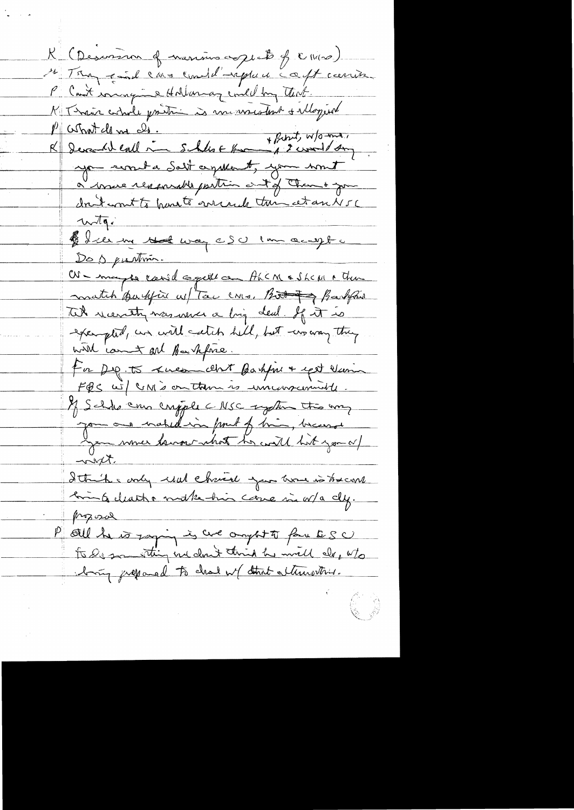K (Descoverin of marino aggrets of Chico) Me Tour faith lava constituent in aft carrier P Cont mangine Hollanay emel by that K Thair adrole prince is memoration & alloqued P comment de me de.<br>R Devend each me Sales = Home + Print, W/O me, spended Salt agreement, you writ à moise renomments partien au diff Chan & you don't wont to hand to correct this et an NSC Witg:<br>1) Ice me that was cSU can acapt c Dos puttin Or - may be caned again a Ahcm & Shem & Then match partifice as Tac cons. But if Barbfois Tik recently was were a big deal. If it is exempted, an will catch hell, but wo way they with comment and Barkforce. For Dep. to kneam about Bashfree & epit Num FQS wil UNI's on them is immensioned If Scholar crypte CNSC regetion this way gom aus matildion front of him, because with. Ittels andy und chaine you are intreand Emin Geleatho make his care in w/a cly. prozosa P oul le 10 jag in 2 ave ought à fau BSC Aring juepared to chal w/ don't alternatives.